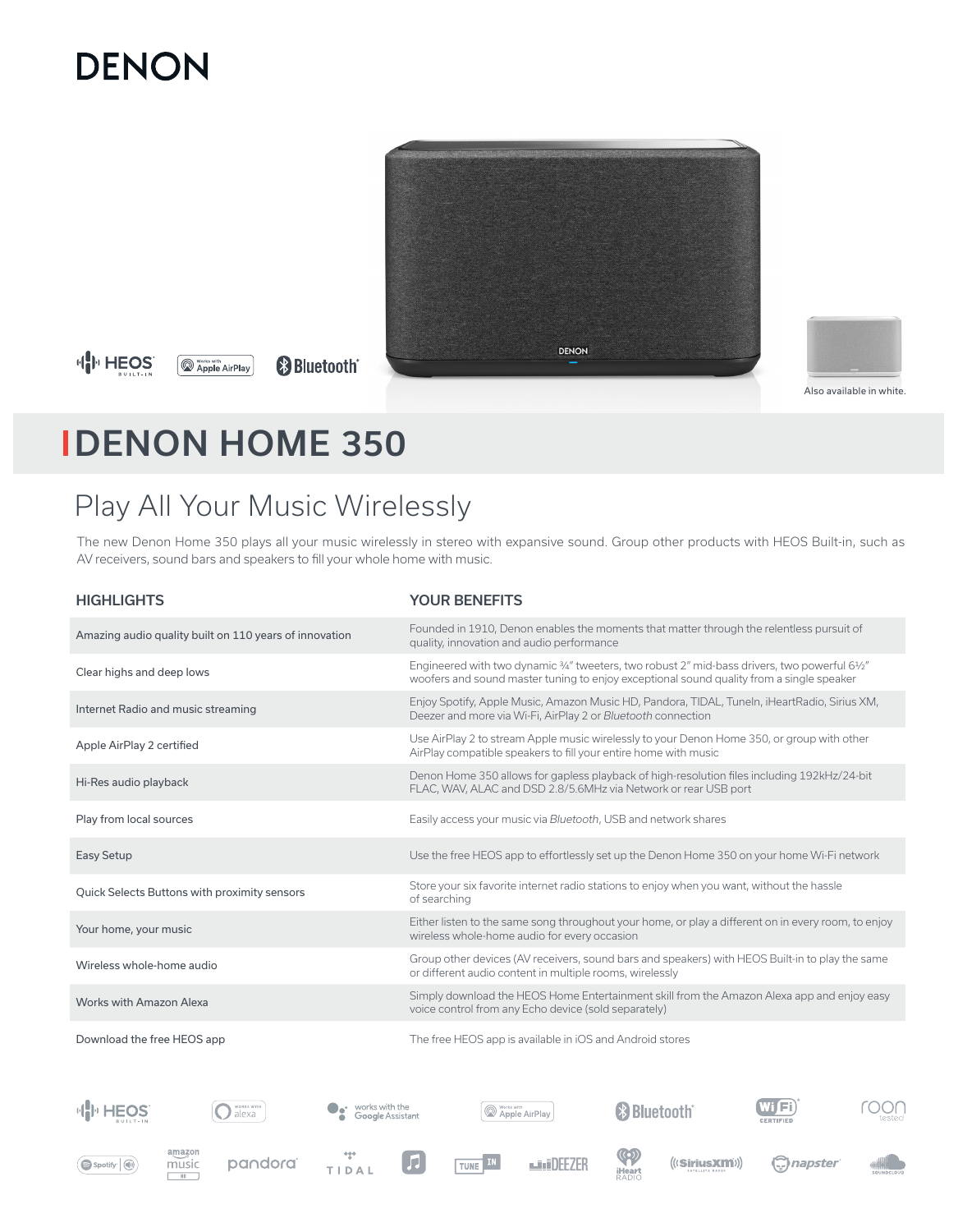# **DENON**



**HIP HEOS** 

**B** Bluetooth<sup>®</sup> **Apple AirPlay** 



# DENON HOME 350

# Play All Your Music Wirelessly

The new Denon Home 350 plays all your music wirelessly in stereo with expansive sound. Group other products with HEOS Built-in, such as AV receivers, sound bars and speakers to fill your whole home with music.

| <b>HIGHLIGHTS</b>                                                | <b>YOUR BENEFITS</b>                                                                                                                                                                      |  |  |
|------------------------------------------------------------------|-------------------------------------------------------------------------------------------------------------------------------------------------------------------------------------------|--|--|
| Amazing audio quality built on 110 years of innovation           | Founded in 1910, Denon enables the moments that matter through the relentless pursuit of<br>quality, innovation and audio performance                                                     |  |  |
| Clear highs and deep lows                                        | Engineered with two dynamic 3/4" tweeters, two robust 2" mid-bass drivers, two powerful 61/2"<br>woofers and sound master tuning to enjoy exceptional sound quality from a single speaker |  |  |
| Internet Radio and music streaming                               | Enjoy Spotify, Apple Music, Amazon Music HD, Pandora, TIDAL, Tuneln, iHeartRadio, Sirius XM,<br>Deezer and more via Wi-Fi, AirPlay 2 or Bluetooth connection                              |  |  |
| Apple AirPlay 2 certified                                        | Use AirPlay 2 to stream Apple music wirelessly to your Denon Home 350, or group with other<br>AirPlay compatible speakers to fill your entire home with music                             |  |  |
| Hi-Res audio playback                                            | Denon Home 350 allows for gapless playback of high-resolution files including 192kHz/24-bit<br>FLAC, WAV, ALAC and DSD 2.8/5.6MHz via Network or rear USB port                            |  |  |
| Play from local sources                                          | Easily access your music via Bluetooth, USB and network shares                                                                                                                            |  |  |
| Easy Setup                                                       | Use the free HEOS app to effortlessly set up the Denon Home 350 on your home Wi-Fi network                                                                                                |  |  |
| Quick Selects Buttons with proximity sensors                     | Store your six favorite internet radio stations to enjoy when you want, without the hassle<br>of searching                                                                                |  |  |
| Your home, your music                                            | Either listen to the same song throughout your home, or play a different on in every room, to enjoy<br>wireless whole-home audio for every occasion                                       |  |  |
| Wireless whole-home audio                                        | Group other devices (AV receivers, sound bars and speakers) with HEOS Built-in to play the same<br>or different audio content in multiple rooms, wirelessly                               |  |  |
| Works with Amazon Alexa                                          | Simply download the HEOS Home Entertainment skill from the Amazon Alexa app and enjoy easy<br>voice control from any Echo device (sold separately)                                        |  |  |
| Download the free HEOS app                                       | The free HEOS app is available in iOS and Android stores                                                                                                                                  |  |  |
|                                                                  |                                                                                                                                                                                           |  |  |
| <b>NORKS WITH</b><br>works with the<br>alexa<br>Google Assistant | Works with<br><sup>(2)</sup> Bluetooth<br>Apple AirPlay<br><b>CERTIFIED</b>                                                                                                               |  |  |
| amazon                                                           | $\sqrt{2}$                                                                                                                                                                                |  |  |





 $m <sup>10</sup> <sup>10</sup>$ 





TUNE IN